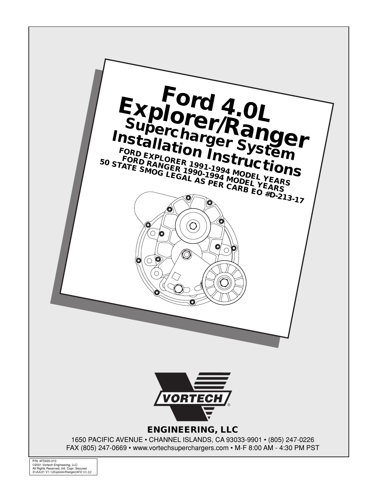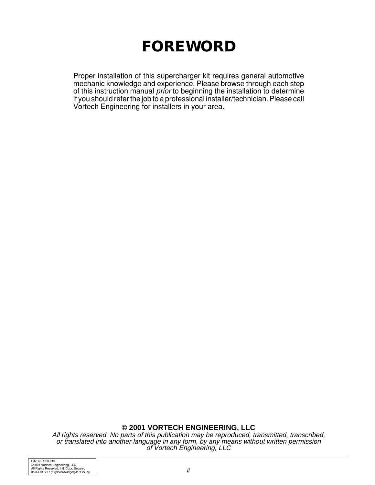# **FOREWORD**

Proper installation of this supercharger kit requires general automotive mechanic knowledge and experience. Please browse through each step of this instruction manual prior to beginning the installation to determine if you should refer the job to a professional installer/technician. Please call Vortech Engineering for installers in your area.

**© 2001 VORTECH ENGINEERING, LLC**

All rights reserved. No parts of this publication may be reproduced, transmitted, transcribed, or translated into another language in any form, by any means without written permission of Vortech Engineering, LLC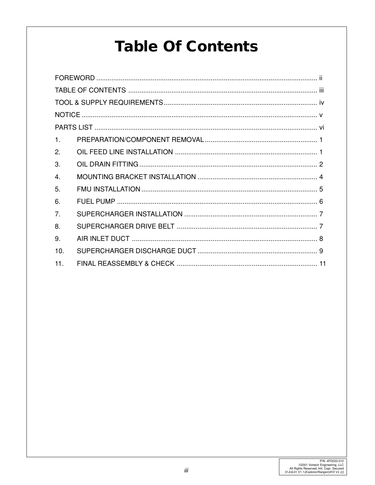# **Table Of Contents**

| $\mathbf{1}$   |  |  |  |  |  |  |
|----------------|--|--|--|--|--|--|
| 2.             |  |  |  |  |  |  |
| 3.             |  |  |  |  |  |  |
| $\mathbf{4}$   |  |  |  |  |  |  |
| 5.             |  |  |  |  |  |  |
| 6.             |  |  |  |  |  |  |
| 7 <sub>1</sub> |  |  |  |  |  |  |
| 8.             |  |  |  |  |  |  |
| 9.             |  |  |  |  |  |  |
| 10.            |  |  |  |  |  |  |
| 11.            |  |  |  |  |  |  |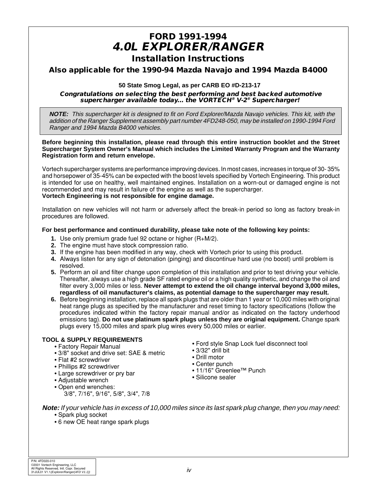### **FORD 1991-1994 4.0L EXPLORER/RANGER Installation Instructions**

#### **Also applicable for the 1990-94 Mazda Navajo and 1994 Mazda B4000**

#### **50 State Smog Legal, as per CARB EO #D-213-17**

#### **Congratulations on selecting the best performing and best backed automotive supercharger available today... the VORTECH® V-2® Supercharger!**

**NOTE:** This supercharger kit is designed to fit on Ford Explorer/Mazda Navajo vehicles. This kit, with the addition of the Ranger Supplement assembly part number 4FD248-050, may be installed on 1990-1994 Ford Ranger and 1994 Mazda B4000 vehicles.

#### **Before beginning this installation, please read through this entire instruction booklet and the Street Supercharger System Owner's Manual which includes the Limited Warranty Program and the Warranty Registration form and return envelope.**

Vortech supercharger systems are performance improving devices. In most cases, increases in torque of 30- 35% and horsepower of 35-45% can be expected with the boost levels specified by Vortech Engineering. This product is intended for use on healthy, well maintained engines. Installation on a worn-out or damaged engine is not recommended and may result in failure of the engine as well as the supercharger. **Vortech Engineering is not responsible for engine damage.**

Installation on new vehicles will not harm or adversely affect the break-in period so long as factory break-in procedures are followed.

#### **For best performance and continued durability, please take note of the following key points:**

- **1.** Use only premium grade fuel 92 octane or higher (R+M/2).
- **2.** The engine must have stock compression ratio.
- **3.** If the engine has been modified in any way, check with Vortech prior to using this product.
- **4.** Always listen for any sign of detonation (pinging) and discontinue hard use (no boost) until problem is resolved.
- **5.** Perform an oil and filter change upon completion of this installation and prior to test driving your vehicle. Thereafter, always use a high grade SF rated engine oil or a high quality synthetic, and change the oil and filter every 3,000 miles or less. **Never attempt to extend the oil change interval beyond 3,000 miles, regardless of oil manufacturer's claims, as potential damage to the supercharger may result.**
- **6.** Before beginning installation, replace all spark plugs that are older than 1 year or 10,000 miles with original heat range plugs as specified by the manufacturer and reset timing to factory specifications (follow the procedures indicated within the factory repair manual and/or as indicated on the factory underhood emissions tag). **Do not use platinum spark plugs unless they are original equipment.** Change spark plugs every 15,000 miles and spark plug wires every 50,000 miles or earlier.

#### **TOOL & SUPPLY REQUIREMENTS**

- **•** Factory Repair Manual
- **•** 3/8" socket and drive set: SAE & metric
- **•** Flat #2 screwdriver
- **•** Phillips #2 screwdriver
- **•** Large screwdriver or pry bar
- **•** Adjustable wrench
- **•** Open end wrenches: 3/8", 7/16", 9/16", 5/8", 3/4", 7/8
- **•** Ford style Snap Lock fuel disconnect tool
- **•** 3/32" drill bit
- **•** Drill motor
- **•** Center punch
- **•** 11/16" Greenlee™ Punch
- **•** Silicone sealer

**Note:** If your vehicle has in excess of 10,000 miles since its last spark plug change, then you may need: **•** Spark plug socket

**•** 6 new OE heat range spark plugs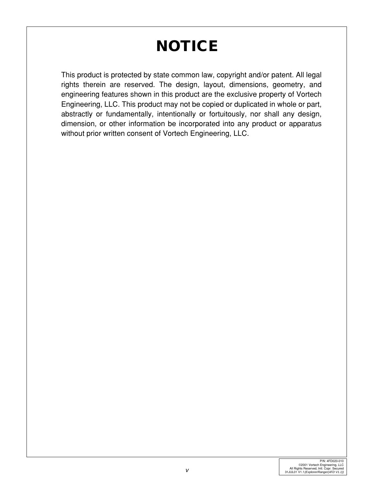# **NOTICE**

This product is protected by state common law, copyright and/or patent. All legal rights therein are reserved. The design, layout, dimensions, geometry, and engineering features shown in this product are the exclusive property of Vortech Engineering, LLC. This product may not be copied or duplicated in whole or part, abstractly or fundamentally, intentionally or fortuitously, nor shall any design, dimension, or other information be incorporated into any product or apparatus without prior written consent of Vortech Engineering, LLC.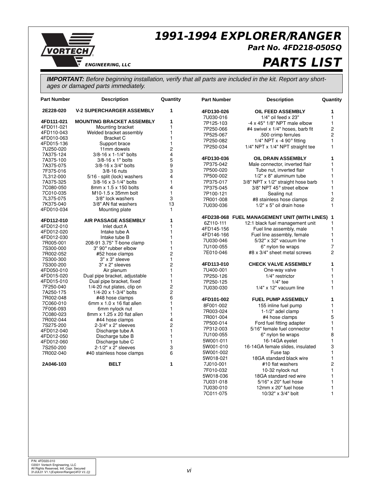

### **1991-1994 EXPLORER/RANGER**

7U030-010 12mm x 20" fuel hose 1 7C011-075 10/32" x 3/4" bolt 1

**Part No. 4FD218-050SQ**

## **PARTS LIST**

**IMPORTANT:** Before beginning installation, verify that all parts are included in the kit. Report any shortages or damaged parts immediately.

| <b>Part Number</b>     | <b>Description</b>                     | Quantity                | <b>Part Number</b> | <b>Description</b>                             | Quantity       |
|------------------------|----------------------------------------|-------------------------|--------------------|------------------------------------------------|----------------|
| 2E228-020              | <b>V-2 SUPERCHARGER ASSEMBLY</b>       | 1                       | 4FD130-026         | <b>OIL FEED ASSEMBLY</b>                       | 1              |
| 4FD111-021             | <b>MOUNTING BRACKET ASSEMBLY</b>       | 1                       | 7U030-016          | $1/4"$ oil feed $\times$ 23"                   | 1              |
| 4FD011-021             | Mounting bracket                       | $\mathbf{1}$            | 7P125-103          | $-4 \times 45^\circ$ 1/8" NPT male elbow       | $\mathbf{1}$   |
| 4FD110-043             | Welded bracket assembly                | $\mathbf{1}$            | 7P250-066          | #4 swivel x 1/4" hoses, barb fit               | $\overline{c}$ |
| 4FD010-063             | <b>Bracket C</b>                       | $\mathbf{1}$            | 7P525-067          | .500 crimp ferrules                            | $\overline{c}$ |
| 4FD015-136             | Support brace                          | 1                       | 7P250-082          | 1/4" NPT $x - 4$ 90 $\degree$ fitting          | 1              |
| 7U250-020              | 11mm dowels                            | $\overline{\mathbf{c}}$ | 7P250-034          | 1/4" NPT x 1/4" NPT straight tee               | $\mathbf{1}$   |
| 7A375-124              | 3/8-16 x 1-1/4" bolts                  | 4                       |                    |                                                |                |
| 7A375-100              | 3/8-16 x 1" bolts                      | 5                       | 4FD130-036         | <b>OIL DRAIN ASSEMBLY</b>                      | 1              |
| 7A375-075              | 3/8-16 x 3/4" bolts                    | 9                       | 7P375-042          | Male connector, inverted flair                 | 1              |
| 7F375-016              | 3/8-16 nuts                            | 3                       | 7P500-020          | Tube nut, inverted flair                       | 1              |
| 7L312-000              | 5/16 - split (lock) washers            | $\overline{\mathbf{4}}$ | 7P500-002          | 1/2" x 8" aluminum tube                        | 1              |
| 7A375-325              | 3/8-16 x 3-1/4" bolts                  | 1                       | 7P375-017          | 3/8" NPT x 1/2" straight hose barb             | 1              |
| 7C080-050              | 8mm x 1.5 x 150 bolts                  | 4                       | 7P375-045          | 3/8" NPT 45° street elbow                      | 1              |
| 7C010-035              | M10-1.5 x 35mm bolt                    | $\mathbf{1}$            | 7P100-121          | Sealing nut                                    | 1              |
| 7L375-075              | 3/8" lock washers                      | 3                       | 7R001-008          | #8 stainless hose clamps                       | $\overline{c}$ |
| 7K375-040              | 3/8" AN flat washers                   | 13                      | 7U030-036          | 1/2" x 5" oil drain hose                       | 1              |
| 4FD010-034             | Mounting plate                         | 1                       |                    |                                                |                |
|                        |                                        |                         |                    | 4FD238-068 FUEL MANAGEMENT UNIT (WITH LINES) 1 |                |
| 4FD112-010             | <b>AIR PASSAGE ASSEMBLY</b>            | 1                       | 6Z110-111          | 12:1 black fuel management unit                | 1              |
| 4FD012-010             | Inlet duct A                           | $\mathbf{1}$            | 4FD145-156         | Fuel line assembly, male                       | 1              |
| 4FD012-020             | Intake tube A                          | $\mathbf{1}$            | 4FD146-166         | Fuel line assembly, female                     | 1              |
| 4FD012-030             | Intake tube B                          | 1                       |                    | $5/32"$ x 32" vacuum line                      | 1              |
| 7R005-001              | 208-91 3.75" T-bone clamp              | $\mathbf{1}$            | 7U030-046          |                                                |                |
| 7S300-000              | 3" 90° rubber elbow                    | 1                       | 7U100-055          | 6" nylon tie wraps                             | 7              |
| 7R002-052              | #52 hose clamps                        | $\overline{c}$          | 7E010-046          | #8 x 3/4" sheet metal screws                   | $\overline{2}$ |
| 7S300-300              | 3" x 3" sleeve                         | $\mathbf{1}$            |                    |                                                |                |
| 7S300-200              | 3" x 2" sleeves                        | $\overline{c}$          | 4FD113-010         | <b>CHECK VALVE ASSEMBLY</b>                    | 1              |
| 4FD050-010             | Air plenum                             | $\mathbf{1}$            | 7U400-001          | One-way valve                                  | 1              |
| 4FD015-020             | Dual pipe bracket, adjustable          | 1                       | 7P250-126          | 1/4" restrictor                                | 1              |
| 4FD015-010             | Dual pipe bracket, fixed               | $\mathbf{1}$            | 7P250-125          | $1/4"$ tee                                     | 1              |
| 7F250-040              | 1/4-20 nut plates, clip on             | $\overline{\mathbf{c}}$ | 7U030-030          | $1/4"$ x 12" vacuum line                       | 1              |
| 7A250-175              | 1/4-20 x 1-3/4" bolts                  | $\overline{c}$          |                    |                                                |                |
| 7R002-048              | #48 hose clamps                        | 6                       | 4FD101-002         | <b>FUEL PUMP ASSEMBLY</b>                      | 1              |
| 7C060-010              | 6mm $x$ 1.0 $x$ 16 flat allen          | 1                       | 8F001-002          | 155 inline fuel pump                           | 1              |
| 7F006-093              | 6mm nylock nut                         | 1                       | 7R003-024          | 1-1/2" adel clamp                              | 1              |
| 7C080-023              | 8mm x 1.25 x 20 flat allen             | 1<br>4                  | 7R001-004          | #4 hose clamps                                 | 5              |
| 7R002-044<br>7S275-200 | #44 hose clamps<br>2-3/4" x 2" sleeves | $\overline{c}$          | 7P500-014          | Ford fuel fitting adapter                      | 1              |
| 4FD012-040             | Discharge tube A                       | 1                       | 7P312-003          | 5/16" female fuel connector                    | 1              |
| 4FD012-050             | Discharge tube B                       | $\mathbf{1}$            | 7U100-055          | 6" nylon tie wraps                             | 8              |
| 4FD012-060             | Discharge tube C                       | 1                       | 5W001-011          | 16-14GA eyelet                                 | 1              |
| 7S250-200              | 2-1/2" x 2" sleeves                    | 3                       | 5W001-010          | 16-14GA female slides, insulated               | 3              |
| 7R002-040              | #40 stainless hose clamps              | 6                       | 5W001-002          | Fuse tap                                       | 1              |
|                        |                                        |                         | 5W018-021          | 18GA standard black wire                       | $\mathbf{1}$   |
| 2A046-103              | <b>BELT</b>                            | 1                       | 7J010-001          | #10 flat washers                               | 2              |
|                        |                                        |                         | 7F010-032          | 10-32 nylock nut                               | 1              |
|                        |                                        |                         |                    | 18GA standard red wire                         | 1              |
|                        |                                        |                         | 5W018-036          |                                                | 1              |
|                        |                                        |                         | 7U031-018          | 5/16" x 20" fuel hose                          |                |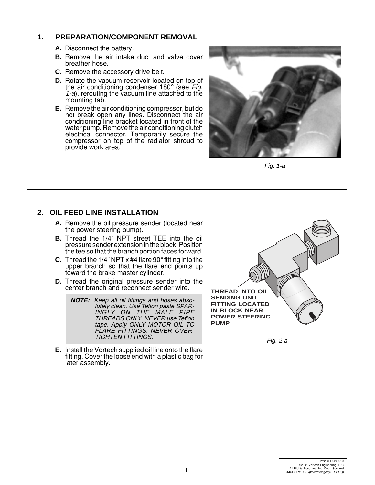#### **1. PREPARATION/COMPONENT REMOVAL**

- **A.** Disconnect the battery.
- **B.** Remove the air intake duct and valve cover breather hose.
- **C.** Remove the accessory drive belt.
- **D.** Rotate the vacuum reservoir located on top of the air conditioning condenser 180° (see Fig. 1-a), rerouting the vacuum line attached to the mounting tab.
- **E.** Remove the air conditioning compressor, but do not break open any lines. Disconnect the air conditioning line bracket located in front of the water pump. Remove the air conditioning clutch electrical connector. Temporarily secure the compressor on top of the radiator shroud to provide work area.



Fig. 1-a

#### **2. OIL FEED LINE INSTALLATION**

- **A.** Remove the oil pressure sender (located near the power steering pump).
- **B.** Thread the 1/4" NPT street TEE into the oil pressure sender extension in the block. Position the tee so that the branch portion faces forward.
- **C.** Thread the 1/4" NPT x #4 flare 90° fitting into the upper branch so that the flare end points up toward the brake master cylinder.
- **D.** Thread the original pressure sender into the center branch and reconnect sender wire.

**NOTE:** Keep all oil fittings and hoses absolutely clean. Use Teflon paste SPAR-INGLY ON THE MALE PIPE THREADS ONLY. NEVER use Teflon tape. Apply ONLY MOTOR OIL TO FLARE FITTINGS. NEVER OVER-

**E.** Install the Vortech supplied oil line onto the flare fitting. Cover the loose end with a plastic bag for later assembly.

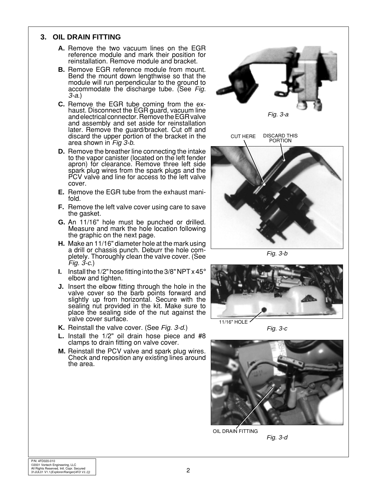#### **3. OIL DRAIN FITTING**

- **A.** Remove the two vacuum lines on the EGR reference module and mark their position for reinstallation. Remove module and bracket.
- **B.** Remove EGR reference module from mount. Bend the mount down lengthwise so that the module will run perpendicular to the ground to accommodate the discharge tube. (See Fig. 3-a.)
- **C.** Remove the EGR tube coming from the exhaust. Disconnect the EGR guard, vacuum line and electrical connector. Remove the EGR valve and assembly and set aside for reinstallation later. Remove the guard/bracket. Cut off and discard the upper portion of the bracket in the area shown in Fig 3-b.
- **D.** Remove the breather line connecting the intake to the vapor canister (located on the left fender apron) for clearance. Remove three left side spark plug wires from the spark plugs and the PCV valve and line for access to the left valve cover.
- **E.** Remove the EGR tube from the exhaust manifold.
- **F.** Remove the left valve cover using care to save the gasket.
- **G.** An 11/16" hole must be punched or drilled. Measure and mark the hole location following the graphic on the next page.
- **H.** Make an 11/16" diameter hole at the mark using a drill or chassis punch. Deburr the hole completely. Thoroughly clean the valve cover. (See Fig. 3-c.)
- **I.** Install the 1/2" hose fitting into the  $3/8$ " NPT  $\times$  45 $^{\circ}$  elbow and tighten.
- **J.** Insert the elbow fitting through the hole in the valve cover so the barb points forward and slightly up from horizontal. Secure with the sealing nut provided in the kit. Make sure to place the sealing side of the nut against the valve cover surface.
- **K.** Reinstall the valve cover. (See Fig. 3-d.)
- **L.** Install the 1/2" oil drain hose piece and #8 clamps to drain fitting on valve cover.
- **M.** Reinstall the PCV valve and spark plug wires. Check and reposition any existing lines around the area.



Fig. 3-b



Fig. 3-c



Fig. 3-d

OIL DRAIN FITTING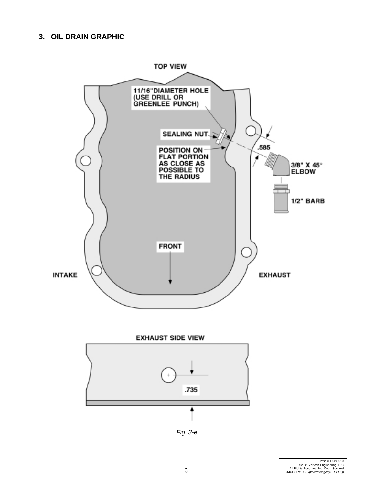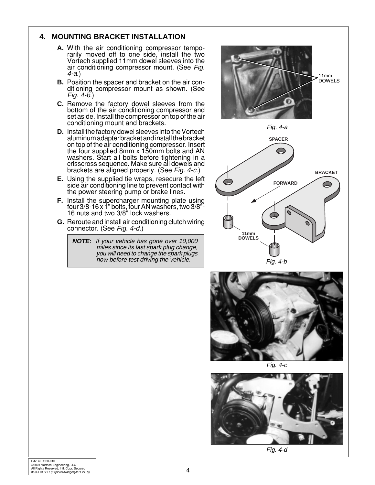#### **4. MOUNTING BRACKET INSTALLATION**

- **A.** With the air conditioning compressor temporarily moved off to one side, install the two Vortech supplied 11mm dowel sleeves into the air conditioning compressor mount. (See Fig. 4-a.)
- **B.** Position the spacer and bracket on the air conditioning compressor mount as shown. (See Fig. 4-b.)
- **C.** Remove the factory dowel sleeves from the bottom of the air conditioning compressor and set aside. Install the compressor on top of the air conditioning mount and brackets.
- **D.** Install the factory dowel sleeves into the Vortech aluminum adapter bracket and install the bracket on top of the air conditioning compressor. Insert the four supplied 8mm x 150mm bolts and AN washers. Start all bolts before tightening in a crisscross sequence. Make sure all dowels and brackets are aligned properly. (See Fig. 4-c.)
- **E.** Using the supplied tie wraps, resecure the left side air conditioning line to prevent contact with the power steering pump or brake lines.
- **F.** Install the supercharger mounting plate using four 3/8-16 x 1" bolts, four AN washers, two 3/8"- 16 nuts and two 3/8" lock washers.
- **G.** Reroute and install air conditioning clutch wiring connector. (See Fig. 4-d.)

**NOTE:** If your vehicle has gone over 10,000 miles since its last spark plug change, you will need to change the spark plugs now before test driving the vehicle.





Fig. 4-c



Fig. 4-d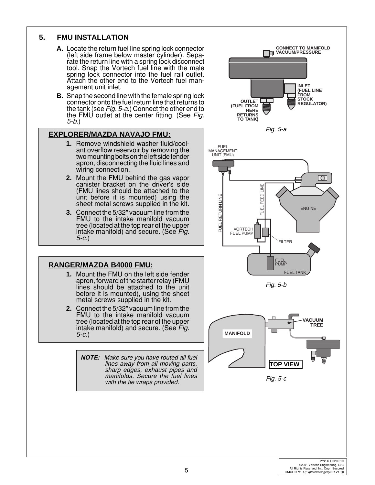#### **5. FMU INSTALLATION**

- **A.** Locate the return fuel line spring lock connector (left side frame below master cylinder). Separate the return line with a spring lock disconnect tool. Snap the Vortech fuel line with the male spring lock connector into the fuel rail outlet. Attach the other end to the Vortech fuel management unit inlet.
- **B.** Snap the second line with the female spring lock connector onto the fuel return line that returns to the tank (see Fig. 5-a.) Connect the other end to the FMU outlet at the center fitting. (See Fig. 5-b.)

#### **EXPLORER/MAZDA NAVAJO FMU:**

- **1.** Remove windshield washer fluid/coolant overflow reservoir by removing the two mounting bolts on the left side fender apron, disconnecting the fluid lines and wiring connection.
- **2.** Mount the FMU behind the gas vapor canister bracket on the driver's side (FMU lines should be attached to the unit before it is mounted) using the sheet metal screws supplied in the kit.
- **3.** Connect the 5/32" vacuum line from the FMU to the intake manifold vacuum tree (located at the top rear of the upper intake manifold) and secure. (See Fig. 5-c.)

#### **RANGER/MAZDA B4000 FMU:**

- **1.** Mount the FMU on the left side fender apron, forward of the starter relay (FMU lines should be attached to the unit before it is mounted), using the sheet metal screws supplied in the kit.
- **2.** Connect the 5/32" vacuum line from the FMU to the intake manifold vacuum tree (located at the top rear of the upper intake manifold) and secure. (See Fig. 5-c.)
	- **NOTE:** Make sure you have routed all fuel lines away from all moving parts, sharp edges, exhaust pipes and manifolds. Secure the fuel lines with the tie wraps provided.

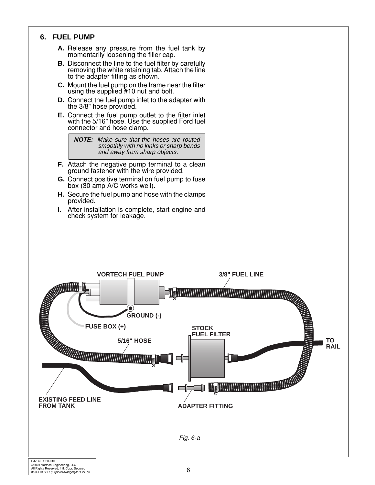#### **6. FUEL PUMP**

- **A.** Release any pressure from the fuel tank by momentarily loosening the filler cap.
- **B.** Disconnect the line to the fuel filter by carefully removing the white retaining tab. Attach the line to the adapter fitting as shown.
- **C.** Mount the fuel pump on the frame near the filter using the supplied #10 nut and bolt.
- **D.** Connect the fuel pump inlet to the adapter with the 3/8" hose provided.
- **E.** Connect the fuel pump outlet to the filter inlet with the 5/16" hose. Use the supplied Ford fuel connector and hose clamp.

**NOTE:** Make sure that the hoses are routed smoothly with no kinks or sharp bends and away from sharp objects.

- **F.** Attach the negative pump terminal to a clean ground fastener with the wire provided.
- **G.** Connect positive terminal on fuel pump to fuse box (30 amp A/C works well).
- **H.** Secure the fuel pump and hose with the clamps provided.
- **I.** After installation is complete, start engine and check system for leakage.

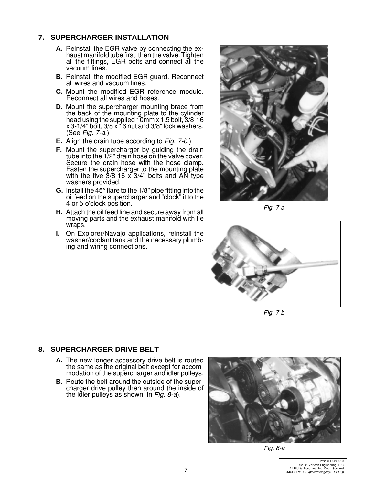#### **7. SUPERCHARGER INSTALLATION**

- **A.** Reinstall the EGR valve by connecting the exhaust manifold tube first, then the valve. Tighten all the fittings, EGR bolts and connect all the vacuum lines.
- **B.** Reinstall the modified EGR guard. Reconnect all wires and vacuum lines.
- **C.** Mount the modified EGR reference module. Reconnect all wires and hoses.
- **D.** Mount the supercharger mounting brace from the back of the mounting plate to the cylinder head using the supplied 10mm x 1.5 bolt, 3/8-16 x 3-1/4" bolt, 3/8 x 16 nut and 3/8" lock washers. (See Fig. 7-a.)
- **E.** Align the drain tube according to Fig. 7-b.)
- **F.** Mount the supercharger by guiding the drain tube into the 1/2" drain hose on the valve cover. Secure the drain hose with the hose clamp. Fasten the supercharger to the mounting plate with the five 3/8-16 x 3/4" bolts and AN type washers provided.
- **G.** Install the 45° flare to the 1/8" pipe fitting into the oil feed on the supercharger and "clock" it to the 4 or 5 o'clock position.
- **H.** Attach the oil feed line and secure away from all moving parts and the exhaust manifold with tie wraps.
- **I.** On Explorer/Navajo applications, reinstall the washer/coolant tank and the necessary plumbing and wiring connections.



Fig. 7-a



Fig. 7-b

#### **8. SUPERCHARGER DRIVE BELT**

- **A.** The new longer accessory drive belt is routed the same as the original belt except for accommodation of the supercharger and idler pulleys.
- **B.** Route the belt around the outside of the supercharger drive pulley then around the inside of the idler pulleys as shown in Fig. 8-a).



Fig. 8-a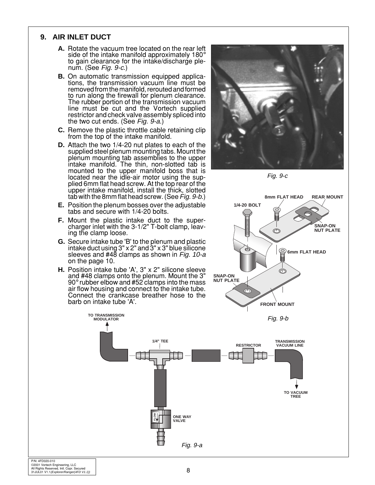#### **9. AIR INLET DUCT**

- **A.** Rotate the vacuum tree located on the rear left side of the intake manifold approximately 180° to gain clearance for the intake/discharge plenum. (See Fig. 9-c.)
- **B.** On automatic transmission equipped applications, the transmission vacuum line must be removed from the manifold, rerouted and formed to run along the firewall for plenum clearance. The rubber portion of the transmission vacuum line must be cut and the Vortech supplied restrictor and check valve assembly spliced into the two cut ends. (See Fig. 9-a.)
- **C.** Remove the plastic throttle cable retaining clip from the top of the intake manifold.
- **D.** Attach the two 1/4-20 nut plates to each of the supplied steel plenum mounting tabs. Mount the plenum mounting tab assemblies to the upper intake manifold. The thin, non-slotted tab is mounted to the upper manifold boss that is located near the idle-air motor using the supplied 6mm flat head screw. At the top rear of the upper intake manifold, install the thick, slotted tab with the 8mm flat head screw. (See Fig. 9-b.)
- **E.** Position the plenum bosses over the adjustable tabs and secure with 1/4-20 bolts.
- **F.** Mount the plastic intake duct to the supercharger inlet with the 3-1/2" T-bolt clamp, leaving the clamp loose.
- **G.** Secure intake tube 'B' to the plenum and plastic intake duct using  $3" \times 2"$  and  $3" \times 3"$  blue silicone sleeves and #48 clamps as shown in Fig. 10-a on the page 10.
- **H.** Position intake tube 'A', 3" x 2" silicone sleeve and #48 clamps onto the plenum. Mount the  $3"$ <br>90° rubber elbow and #52 clamps into the mass air flow housing and connect to the intake tube. Connect the crankcase breather hose to the barb on intake tube 'A'.



Fig. 9-c



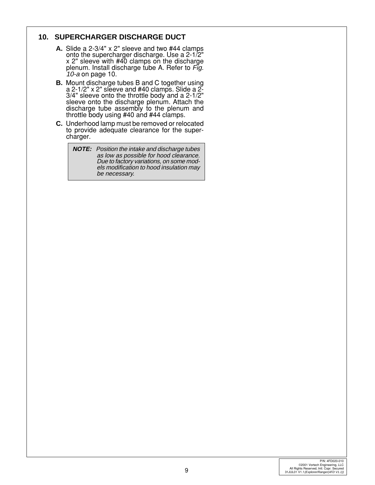#### **10. SUPERCHARGER DISCHARGE DUCT**

- **A.** Slide a 2-3/4" x 2" sleeve and two #44 clamps onto the supercharger discharge. Use a 2-1/2" x 2" sleeve with #40 clamps on the discharge plenum. Install discharge tube A. Refer to Fig. 10-a on page 10.
- **B.** Mount discharge tubes B and C together using a 2-1/2" x 2" sleeve and  $#40$  clamps. Slide a  $2^2$ -3/4" sleeve onto the throttle body and a 2-1/2" sleeve onto the discharge plenum. Attach the discharge tube assembly to the plenum and throttle body using #40 and #44 clamps.
- **C.** Underhood lamp must be removed or relocated to provide adequate clearance for the supercharger.

**NOTE:** Position the intake and discharge tubes as low as possible for hood clearance. Due to factory variations, on some models modification to hood insulation may be necessary.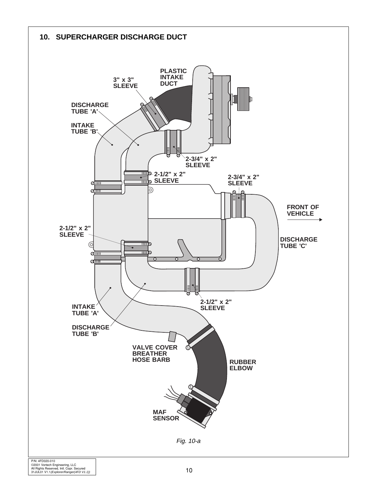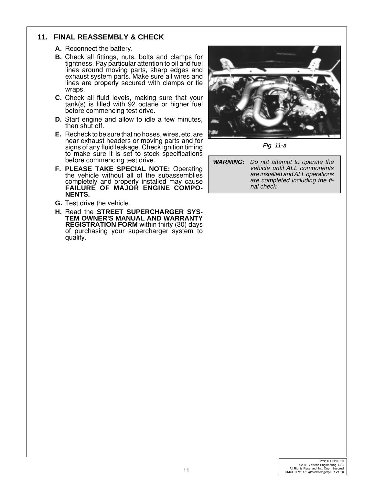#### **11. FINAL REASSEMBLY & CHECK**

- **A.** Reconnect the battery.
- **B.** Check all fittings, nuts, bolts and clamps for tightness. Pay particular attention to oil and fuel lines around moving parts, sharp edges and exhaust system parts. Make sure all wires and lines are properly secured with clamps or tie wraps.
- **C.** Check all fluid levels, making sure that your tank(s) is filled with 92 octane or higher fuel before commencing test drive.
- **D.** Start engine and allow to idle a few minutes, then shut off.
- **E.** Recheck to be sure that no hoses, wires, etc. are near exhaust headers or moving parts and for signs of any fluid leakage. Check ignition timing to make sure it is set to stock specifications before commencing test drive.
- **F. PLEASE TAKE SPECIAL NOTE:** Operating the vehicle without all of the subassemblies completely and properly installed may cause **FAILURE OF MAJOR ENGINE COMPO-NENTS.**
- **G.** Test drive the vehicle.
- **H.** Read the **STREET SUPERCHARGER SYS-TEM OWNER'S MANUAL AND WARRANTY REGISTRATION FORM** within thirty (30) days of purchasing your supercharger system to qualify.



Fig. 11-a

**WARNING:** Do not attempt to operate the vehicle until ALL components are installed and ALL operations are completed including the final check.